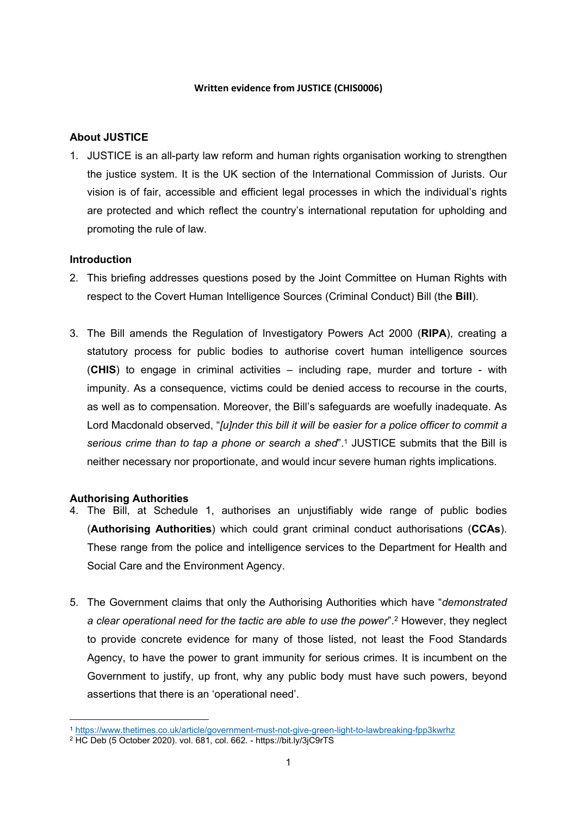#### **Written evidence from JUSTICE (CHIS0006)**

# **About JUSTICE**

1. JUSTICE is an all-party law reform and human rights organisation working to strengthen the justice system. It is the UK section of the International Commission of Jurists. Our vision is of fair, accessible and efficient legal processes in which the individual's rights are protected and which reflect the country's international reputation for upholding and promoting the rule of law.

### **Introduction**

- 2. This briefing addresses questions posed by the Joint Committee on Human Rights with respect to the Covert Human Intelligence Sources (Criminal Conduct) Bill (the **Bill**).
- 3. The Bill amends the Regulation of Investigatory Powers Act 2000 (**RIPA**), creating a statutory process for public bodies to authorise covert human intelligence sources (**CHIS**) to engage in criminal activities – including rape, murder and torture - with impunity. As a consequence, victims could be denied access to recourse in the courts, as well as to compensation. Moreover, the Bill's safeguards are woefully inadequate. As Lord Macdonald observed, "*[u]nder this bill it will be easier for a police officer to commit a serious crime than to tap a phone or search a shed*".<sup>1</sup> JUSTICE submits that the Bill is neither necessary nor proportionate, and would incur severe human rights implications.

### **Authorising Authorities**

- 4. The Bill, at Schedule 1, authorises an unjustifiably wide range of public bodies (**Authorising Authorities**) which could grant criminal conduct authorisations (**CCAs**). These range from the police and intelligence services to the Department for Health and Social Care and the Environment Agency.
- 5. The Government claims that only the Authorising Authorities which have "*demonstrated a clear operational need for the tactic are able to use the power*".<sup>2</sup> However, they neglect to provide concrete evidence for many of those listed, not least the Food Standards Agency, to have the power to grant immunity for serious crimes. It is incumbent on the Government to justify, up front, why any public body must have such powers, beyond assertions that there is an 'operational need'.

<sup>1</sup> <https://www.thetimes.co.uk/article/government-must-not-give-green-light-to-lawbreaking-fpp3kwrhz>

<sup>2</sup> HC Deb (5 October 2020). vol. 681, col. 662. - https://bit.ly/3jC9rTS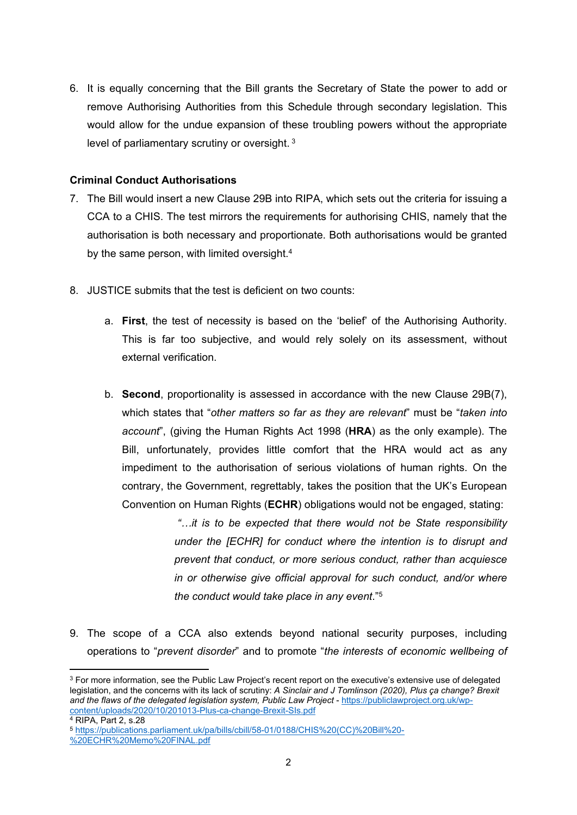6. It is equally concerning that the Bill grants the Secretary of State the power to add or remove Authorising Authorities from this Schedule through secondary legislation. This would allow for the undue expansion of these troubling powers without the appropriate level of parliamentary scrutiny or oversight. <sup>3</sup>

### **Criminal Conduct Authorisations**

- 7. The Bill would insert a new Clause 29B into RIPA, which sets out the criteria for issuing a CCA to a CHIS. The test mirrors the requirements for authorising CHIS, namely that the authorisation is both necessary and proportionate. Both authorisations would be granted by the same person, with limited oversight.<sup>4</sup>
- 8. JUSTICE submits that the test is deficient on two counts:
	- a. **First**, the test of necessity is based on the 'belief' of the Authorising Authority. This is far too subjective, and would rely solely on its assessment, without external verification.
	- b. **Second**, proportionality is assessed in accordance with the new Clause 29B(7), which states that "*other matters so far as they are relevant*" must be "*taken into account*", (giving the Human Rights Act 1998 (**HRA**) as the only example). The Bill, unfortunately, provides little comfort that the HRA would act as any impediment to the authorisation of serious violations of human rights. On the contrary, the Government, regrettably, takes the position that the UK's European Convention on Human Rights (**ECHR**) obligations would not be engaged, stating:

*"…it is to be expected that there would not be State responsibility under the [ECHR] for conduct where the intention is to disrupt and prevent that conduct, or more serious conduct, rather than acquiesce in or otherwise give official approval for such conduct, and/or where the conduct would take place in any event*."<sup>5</sup>

9. The scope of a CCA also extends beyond national security purposes, including operations to "*prevent disorder*" and to promote "*the interests of economic wellbeing of*

<sup>&</sup>lt;sup>3</sup> For more information, see the Public Law Project's recent report on the executive's extensive use of delegated legislation, and the concerns with its lack of scrutiny: *A Sinclair and J Tomlinson (2020), Plus ça change? Brexit and the flaws of the delegated legislation system, Public Law Project* - [https://publiclawproject.org.uk/wp](https://publiclawproject.org.uk/wp-content/uploads/2020/10/201013-Plus-ca-change-Brexit-SIs.pdf)[content/uploads/2020/10/201013-Plus-ca-change-Brexit-SIs.pdf](https://publiclawproject.org.uk/wp-content/uploads/2020/10/201013-Plus-ca-change-Brexit-SIs.pdf)

<sup>4</sup> RIPA, Part 2, s.28

<sup>5</sup> [https://publications.parliament.uk/pa/bills/cbill/58-01/0188/CHIS%20\(CC\)%20Bill%20-](https://publications.parliament.uk/pa/bills/cbill/58-01/0188/CHIS%20(CC)%20Bill%20-%20ECHR%20Memo%20FINAL.pdf)

[<sup>%20</sup>ECHR%20Memo%20FINAL.pdf](https://publications.parliament.uk/pa/bills/cbill/58-01/0188/CHIS%20(CC)%20Bill%20-%20ECHR%20Memo%20FINAL.pdf)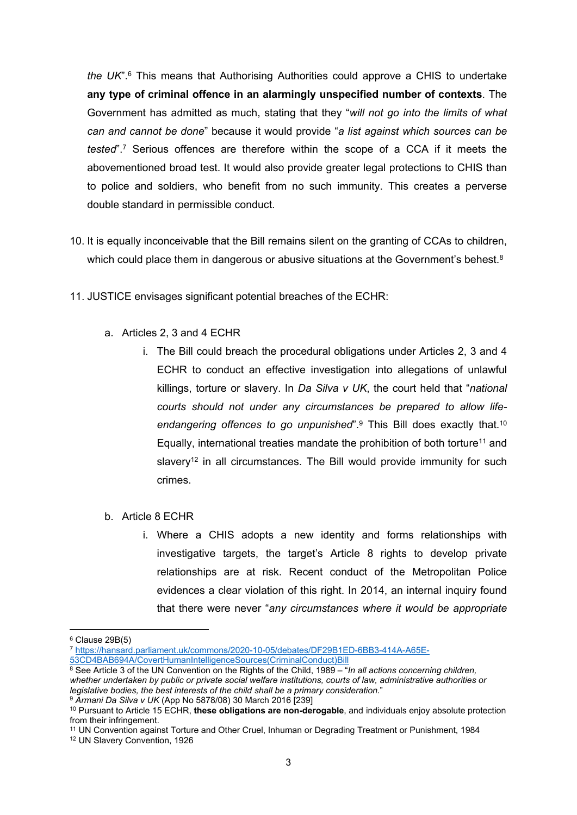*the UK*".<sup>6</sup> This means that Authorising Authorities could approve a CHIS to undertake **any type of criminal offence in an alarmingly unspecified number of contexts**. The Government has admitted as much, stating that they "*will not go into the limits of what can and cannot be done*" because it would provide "*a list against which sources can be tested*".<sup>7</sup> Serious offences are therefore within the scope of a CCA if it meets the abovementioned broad test. It would also provide greater legal protections to CHIS than to police and soldiers, who benefit from no such immunity. This creates a perverse double standard in permissible conduct.

- 10. It is equally inconceivable that the Bill remains silent on the granting of CCAs to children, which could place them in dangerous or abusive situations at the Government's behest.<sup>8</sup>
- 11. JUSTICE envisages significant potential breaches of the ECHR:
	- a. Articles 2, 3 and 4 ECHR
		- i. The Bill could breach the procedural obligations under Articles 2, 3 and 4 ECHR to conduct an effective investigation into allegations of unlawful killings, torture or slavery. In *Da Silva v UK*, the court held that "*national courts should not under any circumstances be prepared to allow lifeendangering offences to go unpunished*".<sup>9</sup> This Bill does exactly that.<sup>10</sup> Equally, international treaties mandate the prohibition of both torture<sup>11</sup> and slavery<sup>12</sup> in all circumstances. The Bill would provide immunity for such crimes.
	- b. Article 8 ECHR
		- i. Where a CHIS adopts a new identity and forms relationships with investigative targets, the target's Article 8 rights to develop private relationships are at risk. Recent conduct of the Metropolitan Police evidences a clear violation of this right. In 2014, an internal inquiry found that there were never "*any circumstances where it would be appropriate*

 $6$  Clause 29B(5)

<sup>7</sup> [https://hansard.parliament.uk/commons/2020-10-05/debates/DF29B1ED-6BB3-414A-A65E-](https://hansard.parliament.uk/commons/2020-10-05/debates/DF29B1ED-6BB3-414A-A65E-53CD4BAB694A/CovertHumanIntelligenceSources(CriminalConduct)Bill)

[<sup>53</sup>CD4BAB694A/CovertHumanIntelligenceSources\(CriminalConduct\)Bill](https://hansard.parliament.uk/commons/2020-10-05/debates/DF29B1ED-6BB3-414A-A65E-53CD4BAB694A/CovertHumanIntelligenceSources(CriminalConduct)Bill)

<sup>8</sup> See Article 3 of the UN Convention on the Rights of the Child, 1989 – "*In all actions concerning children, whether undertaken by public or private social welfare institutions, courts of law, administrative authorities or legislative bodies, the best interests of the child shall be a primary consideration.*" <sup>9</sup> *Armani Da Silva v UK* (App No 5878/08) 30 March 2016 [239]

<sup>10</sup> Pursuant to Article 15 ECHR, **these obligations are non-derogable**, and individuals enjoy absolute protection from their infringement.

<sup>11</sup> UN Convention against Torture and Other Cruel, Inhuman or Degrading Treatment or Punishment, 1984

<sup>12</sup> UN Slavery Convention, 1926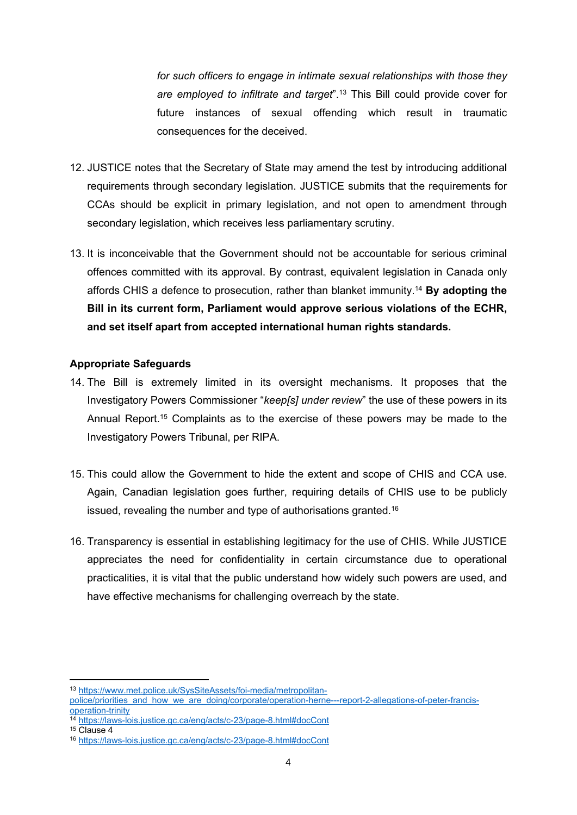*for such officers to engage in intimate sexual relationships with those they are employed to infiltrate and target*".<sup>13</sup> This Bill could provide cover for future instances of sexual offending which result in traumatic consequences for the deceived.

- 12. JUSTICE notes that the Secretary of State may amend the test by introducing additional requirements through secondary legislation. JUSTICE submits that the requirements for CCAs should be explicit in primary legislation, and not open to amendment through secondary legislation, which receives less parliamentary scrutiny.
- 13. It is inconceivable that the Government should not be accountable for serious criminal offences committed with its approval. By contrast, equivalent legislation in Canada only affords CHIS a defence to prosecution, rather than blanket immunity.<sup>14</sup> **By adopting the Bill in its current form, Parliament would approve serious violations of the ECHR, and set itself apart from accepted international human rights standards.**

# **Appropriate Safeguards**

- 14. The Bill is extremely limited in its oversight mechanisms. It proposes that the Investigatory Powers Commissioner "*keep[s] under review*" the use of these powers in its Annual Report.<sup>15</sup> Complaints as to the exercise of these powers may be made to the Investigatory Powers Tribunal, per RIPA.
- 15. This could allow the Government to hide the extent and scope of CHIS and CCA use. Again, Canadian legislation goes further, requiring details of CHIS use to be publicly issued, revealing the number and type of authorisations granted.<sup>16</sup>
- 16. Transparency is essential in establishing legitimacy for the use of CHIS. While JUSTICE appreciates the need for confidentiality in certain circumstance due to operational practicalities, it is vital that the public understand how widely such powers are used, and have effective mechanisms for challenging overreach by the state.

<sup>13</sup> [https://www.met.police.uk/SysSiteAssets/foi-media/metropolitan-](https://www.met.police.uk/SysSiteAssets/foi-media/metropolitan-police/priorities_and_how_we_are_doing/corporate/operation-herne---report-2-allegations-of-peter-francis-operation-trinity)

[police/priorities\\_and\\_how\\_we\\_are\\_doing/corporate/operation-herne---report-2-allegations-of-peter-francis](https://www.met.police.uk/SysSiteAssets/foi-media/metropolitan-police/priorities_and_how_we_are_doing/corporate/operation-herne---report-2-allegations-of-peter-francis-operation-trinity)[operation-trinity](https://www.met.police.uk/SysSiteAssets/foi-media/metropolitan-police/priorities_and_how_we_are_doing/corporate/operation-herne---report-2-allegations-of-peter-francis-operation-trinity)

<sup>14</sup> <https://laws-lois.justice.gc.ca/eng/acts/c-23/page-8.html#docCont>

<sup>15</sup> Clause 4

<sup>16</sup> <https://laws-lois.justice.gc.ca/eng/acts/c-23/page-8.html#docCont>